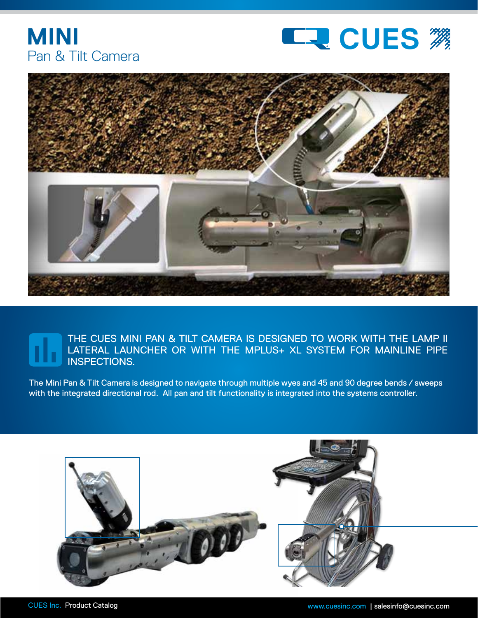





## THE CUES MINI PAN & TILT CAMERA IS DESIGNED TO WORK WITH THE LAMP II LATERAL LAUNCHER OR WITH THE MPLUS+ XL SYSTEM FOR MAINLINE PIPE INSPECTIONS.

The Mini Pan & Tilt Camera is designed to navigate through multiple wyes and 45 and 90 degree bends / sweeps with the integrated directional rod. All pan and tilt functionality is integrated into the systems controller.